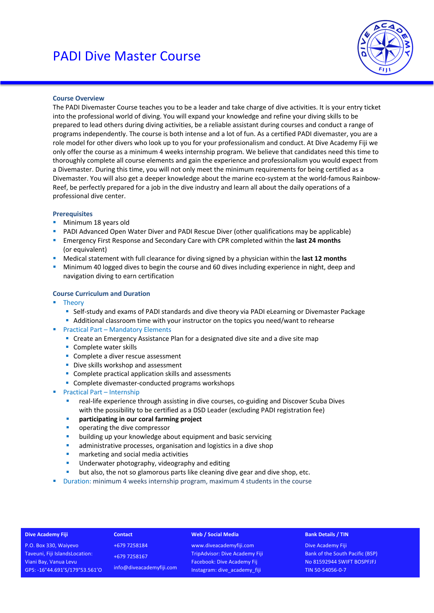

# **Course Overview**

The PADI Divemaster Course teaches you to be a leader and take charge of dive activities. It is your entry ticket into the professional world of diving. You will expand your knowledge and refine your diving skills to be prepared to lead others during diving activities, be a reliable assistant during courses and conduct a range of programs independently. The course is both intense and a lot of fun. As a certified PADI divemaster, you are a role model for other divers who look up to you for your professionalism and conduct. At Dive Academy Fiji we only offer the course as a minimum 4 weeks internship program. We believe that candidates need this time to thoroughly complete all course elements and gain the experience and professionalism you would expect from a Divemaster. During this time, you will not only meet the minimum requirements for being certified as a Divemaster. You will also get a deeper knowledge about the marine eco-system at the world-famous Rainbow-Reef, be perfectly prepared for a job in the dive industry and learn all about the daily operations of a professional dive center.

## **Prerequisites**

- Minimum 18 years old
- PADI Advanced Open Water Diver and PADI Rescue Diver (other qualifications may be applicable)
- § Emergency First Response and Secondary Care with CPR completed within the **last 24 months** (or equivalent)
- § Medical statement with full clearance for diving signed by a physician within the **last 12 months**
- Minimum 40 logged dives to begin the course and 60 dives including experience in night, deep and navigation diving to earn certification

# **Course Curriculum and Duration**

- § Theory
	- Self-study and exams of PADI standards and dive theory via PADI eLearning or Divemaster Package
	- Additional classroom time with your instructor on the topics you need/want to rehearse
- Practical Part Mandatory Elements
	- Create an Emergency Assistance Plan for a designated dive site and a dive site map
	- Complete water skills
	- Complete a diver rescue assessment
	- Dive skills workshop and assessment
	- Complete practical application skills and assessments
	- Complete divemaster-conducted programs workshops
- Practical Part Internship
	- real-life experience through assisting in dive courses, co-guiding and Discover Scuba Dives with the possibility to be certified as a DSD Leader (excluding PADI registration fee)
	- **participating in our coral farming project**
	- § operating the dive compressor
	- **•** building up your knowledge about equipment and basic servicing
	- administrative processes, organisation and logistics in a dive shop
	- **■** marketing and social media activities
	- **■** Underwater photography, videography and editing
	- but also, the not so glamorous parts like cleaning dive gear and dive shop, etc.
- § Duration: minimum 4 weeks internship program, maximum 4 students in the course

### **Dive Academy Fiji**

P.O. Box 330, Waiyevo Taveuni, Fiji IslandsLocation: Viani Bay, Vanua Levu GPS: -16°44.691'S/179°53.561'O

+679 7258184 +679 7258167 info@diveacademyfiji.com

**Contact**

### **Web / Social Media**

www.diveacademyfiji.com TripAdvisor: Dive Academy Fiji Facebook: Dive Academy Fij Instagram: dive\_academy\_fiji

### **Bank Details / TIN**

Dive Academy Fiji Bank of the South Pacific (BSP) No 81592944 SWIFT BOSPFJFJ TIN 50-54056-0-7